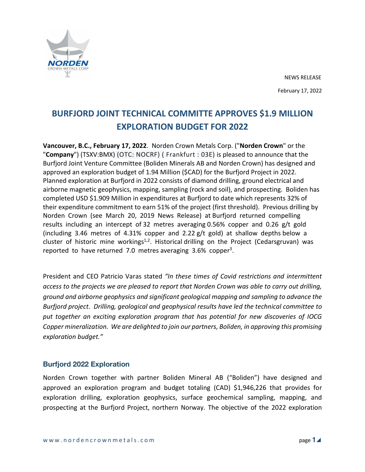

# **BURFJORD JOINT TECHNICAL COMMITTE APPROVES \$1.9 MILLION EXPLORATION BUDGET FOR 2022**

**Vancouver, B.C., February 17, 2022**. Norden Crown Metals Corp. ("**Norden Crown**" or the "**Company**") (TSXV:BMX) (OTC: NOCRF) ( Frankfurt : 03E) is pleased to announce that the Burfjord Joint Venture Committee (Boliden Minerals AB and Norden Crown) has designed and approved an exploration budget of 1.94 Million (\$CAD) for the Burfjord Project in 2022. Planned exploration at Burfjord in 2022 consists of diamond drilling, ground electrical and airborne magnetic geophysics, mapping, sampling (rock and soil), and prospecting. Boliden has completed USD \$1.909 Million in expenditures at Burfjord to date which represents 32% of their expenditure commitment to earn 51% of the project (first threshold). Previous drilling by Norden Crown (see March 20, 2019 News Release) at Burfjord returned compelling results including an intercept of 32 metres averaging 0.56% copper and 0.26 g/t gold (including 3.46 metres of 4.31% copper and 2.22 g/t gold) at shallow depths below a cluster of historic mine workings<sup>1,2</sup>. Historical drilling on the Project (Cedarsgruvan) was reported to have returned 7.0 metres averaging 3.6% copper<sup>3</sup>.

President and CEO Patricio Varas stated *"In these times of Covid restrictions and intermittent access to the projects we are pleased to report that Norden Crown was able to carry out drilling, ground and airborne geophysics and significant geological mapping and sampling to advance the Burfjord project. Drilling, geological and geophysical results have led the technical committee to put together an exciting exploration program that has potential for new discoveries of IOCG Copper mineralization. We are delighted to join our partners, Boliden, in approving this promising exploration budget."*

# **Burfjord 2022 Exploration**

Norden Crown together with partner Boliden Mineral AB ("Boliden") have designed and approved an exploration program and budget totaling (CAD) \$1,946,226 that provides for exploration drilling, exploration geophysics, surface geochemical sampling, mapping, and prospecting at the Burfjord Project, northern Norway. The objective of the 2022 exploration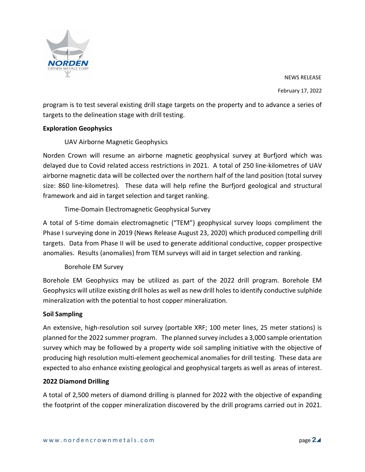

NEWS RELEASE February 17, 2022

program is to test several existing drill stage targets on the property and to advance a series of targets to the delineation stage with drill testing.

#### **Exploration Geophysics**

#### UAV Airborne Magnetic Geophysics

Norden Crown will resume an airborne magnetic geophysical survey at Burfjord which was delayed due to Covid related access restrictions in 2021. A total of 250 line-kilometres of UAV airborne magnetic data will be collected over the northern half of the land position (total survey size: 860 line-kilometres). These data will help refine the Burfjord geological and structural framework and aid in target selection and target ranking.

# Time-Domain Electromagnetic Geophysical Survey

A total of 5-time domain electromagnetic ("TEM") geophysical survey loops compliment the Phase I surveying done in 2019 (News Release August 23, 2020) which produced compelling drill targets. Data from Phase II will be used to generate additional conductive, copper prospective anomalies. Results (anomalies) from TEM surveys will aid in target selection and ranking.

# Borehole EM Survey

Borehole EM Geophysics may be utilized as part of the 2022 drill program. Borehole EM Geophysics will utilize existing drill holes as well as new drill holes to identify conductive sulphide mineralization with the potential to host copper mineralization.

#### **Soil Sampling**

An extensive, high-resolution soil survey (portable XRF; 100 meter lines, 25 meter stations) is planned for the 2022 summer program. The planned survey includes a 3,000 sample orientation survey which may be followed by a property wide soil sampling initiative with the objective of producing high resolution multi-element geochemical anomalies for drill testing. These data are expected to also enhance existing geological and geophysical targets as well as areas of interest.

#### **2022 Diamond Drilling**

A total of 2,500 meters of diamond drilling is planned for 2022 with the objective of expanding the footprint of the copper mineralization discovered by the drill programs carried out in 2021.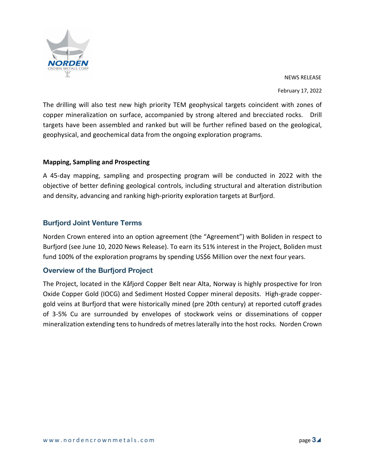

NEWS RELEASE February 17, 2022

The drilling will also test new high priority TEM geophysical targets coincident with zones of copper mineralization on surface, accompanied by strong altered and brecciated rocks. Drill targets have been assembled and ranked but will be further refined based on the geological, geophysical, and geochemical data from the ongoing exploration programs.

#### **Mapping, Sampling and Prospecting**

A 45-day mapping, sampling and prospecting program will be conducted in 2022 with the objective of better defining geological controls, including structural and alteration distribution and density, advancing and ranking high-priority exploration targets at Burfjord.

# **Burfjord Joint Venture Terms**

Norden Crown entered into an option agreement (the "Agreement") with Boliden in respect to Burfjord (see June 10, 2020 News Release). To earn its 51% interest in the Project, Boliden must fund 100% of the exploration programs by spending US\$6 Million over the next four years.

# **Overview of the Burfjord Project**

The Project, located in the Kåfjord Copper Belt near Alta, Norway is highly prospective for Iron Oxide Copper Gold (IOCG) and Sediment Hosted Copper mineral deposits. High-grade coppergold veins at Burfjord that were historically mined (pre 20th century) at reported cutoff grades of 3-5% Cu are surrounded by envelopes of stockwork veins or disseminations of copper mineralization extending tens to hundreds of metreslaterally into the host rocks. Norden Crown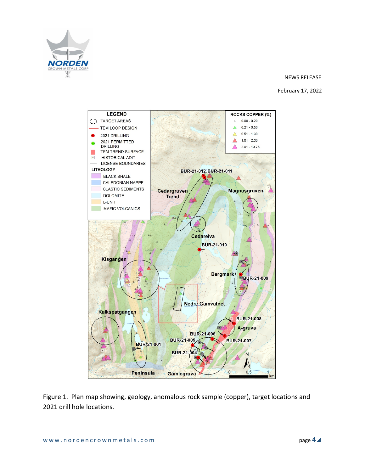

#### NEWS RELEASE

#### February 17, 2022



Figure 1. Plan map showing, geology, anomalous rock sample (copper), target locations and 2021 drill hole locations.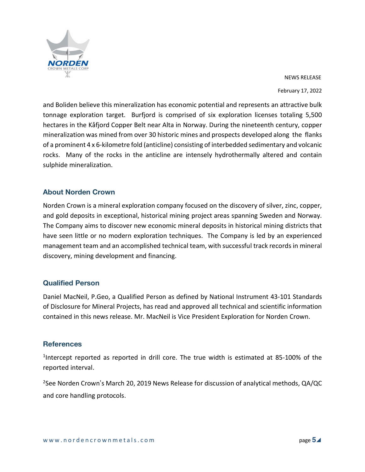

NEWS RELEASE February 17, 2022

and Boliden believe this mineralization has economic potential and represents an attractive bulk tonnage exploration target. Burfjord is comprised of six exploration licenses totaling 5,500 hectares in the Kåfjord Copper Belt near Alta in Norway. During the nineteenth century, copper mineralization was mined from over 30 historic mines and prospects developed along the flanks of a prominent 4 x 6-kilometre fold (anticline) consisting of interbedded sedimentary and volcanic rocks. Many of the rocks in the anticline are intensely hydrothermally altered and contain sulphide mineralization.

# **About Norden Crown**

Norden Crown is a mineral exploration company focused on the discovery of silver, zinc, copper, and gold deposits in exceptional, historical mining project areas spanning Sweden and Norway. The Company aims to discover new economic mineral deposits in historical mining districts that have seen little or no modern exploration techniques. The Company is led by an experienced management team and an accomplished technical team, with successful track records in mineral discovery, mining development and financing.

# **Qualified Person**

Daniel MacNeil, P.Geo, a Qualified Person as defined by National Instrument 43-101 Standards of Disclosure for Mineral Projects, has read and approved all technical and scientific information contained in this news release. Mr. MacNeil is Vice President Exploration for Norden Crown.

# **References**

<sup>1</sup>Intercept reported as reported in drill core. The true width is estimated at 85-100% of the reported interval.

<sup>2</sup>See Norden Crown's March 20, 2019 News Release for discussion of analytical methods, QA/QC and core handling protocols.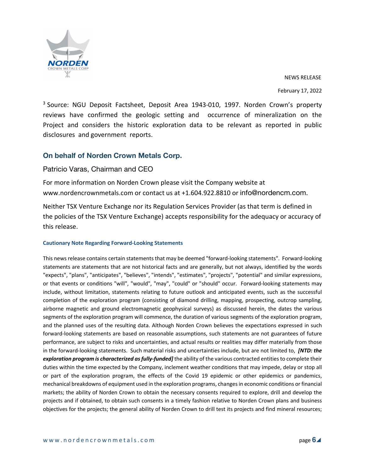

NEWS RELEASE

February 17, 2022

<sup>3</sup> Source: NGU Deposit Factsheet, Deposit Area 1943-010, 1997. Norden Crown's property reviews have confirmed the geologic setting and occurrence of mineralization on the Project and considers the historic exploration data to be relevant as reported in public disclosures and government reports.

# **On behalf of Norden Crown Metals Corp.**

#### Patricio Varas, Chairman and CEO

For more information on Norden Crown please visit the Company website at www.nordencrownmetals.com or contact us at +1.604.922.8810 or info@nordencm.com.

Neither TSX Venture Exchange nor its Regulation Services Provider (as that term is defined in the policies of the TSX Venture Exchange) accepts responsibility for the adequacy or accuracy of this release.

#### **Cautionary Note Regarding Forward-Looking Statements**

This news release contains certain statements that may be deemed "forward-looking statements". Forward-looking statements are statements that are not historical facts and are generally, but not always, identified by the words "expects", "plans", "anticipates", "believes", "intends", "estimates", "projects", "potential" and similar expressions, or that events or conditions "will", "would", "may", "could" or "should" occur. Forward-looking statements may include, without limitation, statements relating to future outlook and anticipated events, such as the successful completion of the exploration program (consisting of diamond drilling, mapping, prospecting, outcrop sampling, airborne magnetic and ground electromagnetic geophysical surveys) as discussed herein, the dates the various segments of the exploration program will commence, the duration of various segments of the exploration program, and the planned uses of the resulting data. Although Norden Crown believes the expectations expressed in such forward-looking statements are based on reasonable assumptions, such statements are not guarantees of future performance, are subject to risks and uncertainties, and actual results or realities may differ materially from those in the forward-looking statements. Such material risks and uncertainties include, but are not limited to, *[NTD: the exploration program is characterized asfully-funded]* the ability of the various contracted entitiesto complete their duties within the time expected by the Company, inclement weather conditions that may impede, delay or stop all or part of the exploration program, the effects of the Covid 19 epidemic or other epidemics or pandemics, mechanical breakdowns of equipment used in the exploration programs, changesin economic conditions orfinancial markets; the ability of Norden Crown to obtain the necessary consents required to explore, drill and develop the projects and if obtained, to obtain such consents in a timely fashion relative to Norden Crown plans and business objectives for the projects; the general ability of Norden Crown to drill test its projects and find mineral resources;